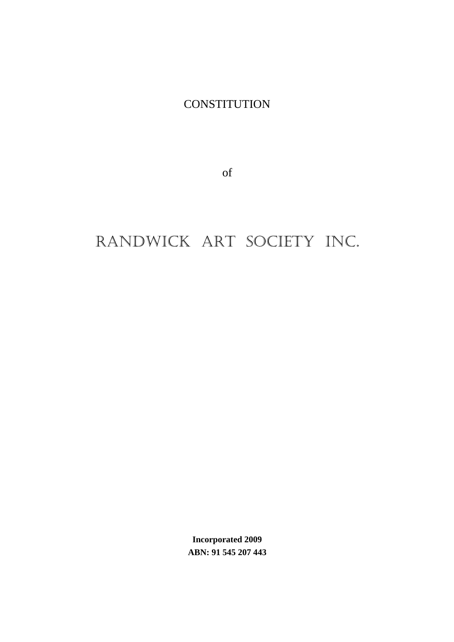**CONSTITUTION** 

of

# RANDWICK ART SOCIETY INC.

**Incorporated 2009 ABN: 91 545 207 443**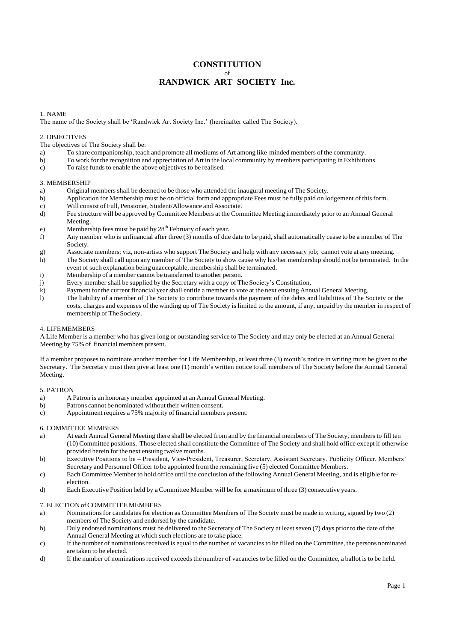# **CONSTITUTION** of **RANDWICK ART SOCIETY Inc.**

# 1. NAME

The name of the Society shall be 'Randwick Art Society Inc.' (hereinafter called The Society).

#### 2. OBJECTIVES

The objectives of The Society shall be:

- a) To share companionship, teach and promote all mediums of Art among like-minded members of the community.
- b) To work for the recognition and appreciation of Art in the local community by members participating in Exhibitions.
- c) To raise funds to enable the above objectives to be realised.

#### 3. MEMBERSHIP

- a) Original members shall be deemed to be those who attended the inaugural meeting of The Society.
- b) Application for Membership must be on official form and appropriate Fees must be fully paid on lodgement of this form.
- c) Will consist of Full, Pensioner, Student/Allowance and Associate.
- d) Fee structure will be approved by Committee Members at the Committee Meeting immediately prior to an Annual General Meeting.
- e) Membership fees must be paid by  $28<sup>th</sup>$  February of each year.
- f) Any member who is unfinancial after three (3) months of due date to be paid, shall automatically cease to be a member of The Society.
- g) Associate members; viz, non-artists who support The Society and help with any necessary job; cannot vote at any meeting.
- h) The Society shall call upon any member of The Society to show cause why his/her membership should not be terminated. In the event of such explanation being unacceptable, membership shall be terminated.
- 
- i) Membership of a member cannot be transferred to another person.<br>  $\ddot{\text{j}}$  Every member shall be supplied by the Secretary with a copy of T Every member shall be supplied by the Secretary with a copy of The Society's Constitution.
- k) Payment for the current financial year shall entitle a member to vote at the next ensuing Annual General Meeting.
- l) The liability of a member of The Society to contribute towards the payment of the debts and liabilities of The Society or the costs, charges and expenses of the winding up of The Society is limited to the amount, if any, unpaid by the member in respect of membership of The Society.

#### 4. LIFEMEMBERS

A Life Member is a member who has given long or outstanding service to The Society and may only be elected at an Annual General Meeting by 75% of financial members present.

If a member proposes to nominate another member for Life Membership, at least three (3) month's notice in writing must be given to the Secretary. The Secretary must then give at least one (1) month's written notice to all members of The Society before the Annual General Meeting.

#### 5. PATRON

- a) A Patron is an honorary member appointed at an Annual General Meeting.
- b) Patrons cannot be nominated without their written consent.
- c) Appointment requires a 75% majority of financial members present.

#### 6. COMMITTEE MEMBERS

- a) At each Annual General Meeting there shall be elected from and by the financial members of The Society, members to fill ten (10) Committee positions. Those elected shall constitute the Committee of The Society and shall hold office except if otherwise provided herein for the next ensuing twelve months.
- b) Executive Positions to be President, Vice-President, Treasurer, Secretary, Assistant Secretary. Publicity Officer, Members' Secretary and Personnel Officer to be appointed from the remaining five (5) elected Committee Members.
- c) Each Committee Member to hold office until the conclusion of the following Annual General Meeting, and is eligible for reelection.
- d) Each Executive Position held by a Committee Member will be for a maximum of three (3) consecutive years.

#### 7. ELECTION of COMMITTEE MEMBERS

- a) Nominations for candidates for election as Committee Members of The Society must be made in writing, signed by two (2) members of The Society and endorsed by the candidate.
- b) Duly endorsed nominations must be delivered to the Secretary of The Society at least seven (7) days prior to the date of the Annual General Meeting at which such elections are to take place.
- c) If the number of nominations received is equal to the number of vacancies to be filled on the Committee, the persons nominated are taken to be elected.
- d) If the number of nominations received exceeds the number of vacancies to be filled on the Committee, a ballot is to be held.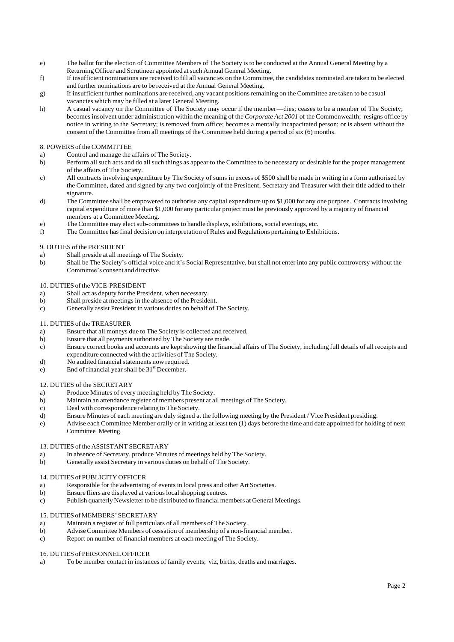- e) The ballot for the election of Committee Members of The Society is to be conducted at the Annual General Meeting by a Returning Officer and Scrutineer appointed at such Annual General Meeting.
- f) If insufficient nominations are received to fill all vacancies on the Committee, the candidates nominated are taken to be elected and further nominations are to be received at the Annual General Meeting.
- g) If insufficient further nominations are received, any vacant positionsremaining on the Committee are taken to be casual vacancies which may be filled at a later General Meeting.
- h) A casual vacancy on the Committee of The Society may occur if the member—dies; ceases to be a member of The Society; becomes insolvent under administration within the meaning of the *Corporate Act 2001* of the Commonwealth; resigns office by notice in writing to the Secretary; is removed from office; becomes a mentally incapacitated person; or is absent without the consent of the Committee from all meetings of the Committee held during a period of six (6) months.

#### 8. POWERS of the COMMITTEE

- a) Control and manage the affairs of The Society.
- b) Perform all such acts and do all such things as appear to the Committee to be necessary or desirable for the proper management of the affairs of The Society.
- c) All contracts involving expenditure by The Society of sums in excess of \$500 shall be made in writing in a form authorised by the Committee, dated and signed by any two conjointly of the President, Secretary and Treasurer with their title added to their signature.
- d) The Committee shall be empowered to authorise any capital expenditure up to \$1,000 for any one purpose. Contracts involving capital expenditure of more than \$1,000 for any particular project must be previously approved by a majority of financial members at a Committee Meeting.
- e) The Committee may elect sub-committees to handle displays, exhibitions, social evenings, etc.
- f) The Committee hasfinal decision on interpretation of Rules and Regulations pertaining to Exhibitions.

# 9. DUTIES of the PRESIDENT

- a) Shall preside at all meetings of The Society.
- b) Shall be The Society's official voice and it's Social Representative, but shall not enter into any public controversy without the Committee's consent and directive.

# 10. DUTIES of the VICE-PRESIDENT

- a) Shall act as deputy for the President, when necessary.
- b) Shall preside at meetings in the absence of the President.
- c) Generally assist President in various duties on behalf of The Society.

#### 11. DUTIES of the TREASURER

- a) Ensure that all moneys due to The Society is collected and received.
- b) Ensure that all payments authorised by The Society are made.
- c) Ensure correct books and accounts are kept showing the financial affairs of The Society, including full details of all receipts and expenditure connected with the activities of The Society.
- d) No audited financial statements now required.
- e) End of financial year shall be  $31<sup>st</sup>$  December.

#### 12. DUTIES of the SECRETARY

- a) Produce Minutes of every meeting held by The Society.
- b) Maintain an attendance register of members present at all meetings of The Society.
- c) Deal with correspondence relating to The Society.
- d) Ensure Minutes of each meeting are duly signed at the following meeting by the President / Vice President presiding.
- e) Advise each Committee Member orally or in writing at least ten (1) days before the time and date appointed for holding of next Committee Meeting.

# 13. DUTIES of the ASSISTANT SECRETARY

- a) In absence of Secretary, produce Minutes of meetings held by The Society.
- b) Generally assist Secretary in various duties on behalf of The Society.

# 14. DUTIES of PUBLICITY OFFICER

- a) Responsible for the advertising of events in local press and other Art Societies.
- b) Ensure fliers are displayed at various local shopping centres.
- c) Publish quarterly Newsletter to be distributed to financial members at General Meetings.

# 15. DUTIES of MEMBERS'SECRETARY

- a) Maintain a register of full particulars of all members of The Society.
- b) AdviseCommittee Members of cessation of membership of a non-financial member.
- c) Report on number of financial members at each meeting of The Society.

#### 16. DUTIES of PERSONNEL OFFICER

a) To be member contact in instances of family events; viz, births, deaths and marriages.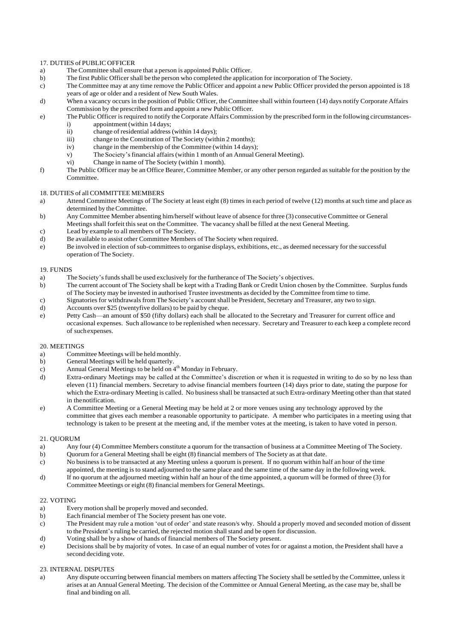# 17. DUTIES of PUBLIC OFFICER<br>a) The Committee shall ensu

- The Committee shall ensure that a person is appointed Public Officer.
- b) The first Public Officer shall be the person who completed the application for incorporation of The Society.<br>
The Committee may at any time remove the Public Officer and appoint a new Public Officer provided the p
- The Committee may at any time remove the Public Officer and appoint a new Public Officer provided the person appointed is 18 years of age or older and a resident of New South Wales.
- d) When a vacancy occurs in the position of Public Officer, the Committee shall within fourteen (14) days notify Corporate Affairs Commission by the prescribed form and appoint a new Public Officer.
- e) The Public Officer isrequired to notify the Corporate Affairs Commission by the prescribed form in the following circumstancesi) appointment (within 14 days;<br>ii) change of residential address
	- ii) change of residential address (within 14 days);<br>iii) change to the Constitution of The Society (with
	- iii) change to the Constitution of The Society (within 2 months);<br>
	change in the membership of the Committee (within 14 days)
	- iv) change in the membership of the Committee (within 14 days);<br>v) The Society's financial affairs (within 1 month of an Annual G
	- The Society's financial affairs (within 1 month of an Annual General Meeting).
	- vi) Change in name of The Society (within 1 month).
- f) The Public Officer may be an Office Bearer, Committee Member, or any other person regarded as suitable for the position by the Committee.

# 18. DUTIES of all COMMITTEE MEMBERS

- a) Attend Committee Meetings of The Society at least eight (8) times in each period of twelve (12) months at such time and place as determined by the Committee.
- b) Any Committee Member absenting him/herself without leave of absence for three (3) consecutive Committee or General Meetings shall forfeit this seat on the Committee. The vacancy shall be filled at the next General Meeting.
- c) Lead by example to all members of The Society.
- d) Be available to assist other Committee Members of The Society when required.
- e) Be involved in election of sub-committees to organise displays, exhibitions, etc., as deemed necessary for the successful operation of The Society.

#### 19. FUNDS

- a) The Society's funds shall be used exclusively for the furtherance of The Society's objectives.<br>b) The current account of The Society shall be kept with a Trading Bank or Credit Union choser
- b) The current account of The Society shall be kept with a Trading Bank or Credit Union chosen by the Committee. Surplus funds of The Society may be invested in authorised Trustee investments as decided by the Committee from time to time.
- c) Signatories for withdrawals from The Society's account shall be President, Secretary and Treasurer, any two to sign.
- d) Accounts over \$25 (twentyfive dollars) to be paid by cheque.
- e) Petty Cash—an amount of \$50 (fifty dollars) each shall be allocated to the Secretary and Treasurer for current office and occasional expenses. Such allowance to be replenished when necessary. Secretary and Treasurer to each keep a complete record of suchexpenses.

#### 20. MEETINGS

- a) Committee Meetings will be held monthly.<br>b) General Meetings will be held quarterly.
- b) General Meetings will be held quarterly.
- c) Annual General Meetings to be held on  $4<sup>th</sup>$  Monday in February.
- d) Extra-ordinary Meetings may be called at the Committee's discretion or when it is requested in writing to do so by no less than eleven (11) financial members. Secretary to advise financial members fourteen (14) days prior to date, stating the purpose for which the Extra-ordinary Meeting is called. No business shall be transacted at such Extra-ordinary Meeting other than that stated in thenotification.
- e) A Committee Meeting or a General Meeting may be held at 2 or more venues using any technology approved by the committee that gives each member a reasonable opportunity to participate. A member who participates in a meeting using that technology is taken to be present at the meeting and, if the member votes at the meeting, is taken to have voted in person.

# 21. QUORUM

- a) Any four (4) Committee Members constitute a quorum for the transaction of business at a Committee Meeting of The Society.
- b) Quorum for a General Meeting shall be eight (8) financial members of The Society as at that date.
- c) No business is to be transacted at any Meeting unless a quorum is present. If no quorum within half an hour of the time appointed, the meeting is to stand adjourned to the same place and the same time of the same day in the following week.
- d) If no quorum at the adjourned meeting within half an hour of the time appointed, a quorum will be formed of three (3) for Committee Meetings or eight (8) financial members for General Meetings.

#### 22. VOTING

- a) Every motion shall be properly moved and seconded.
- b) Each financial member of The Society present has one vote.
- c) The President may rule a motion 'out of order' and state reason/s why. Should a properly moved and seconded motion of dissent to the President's ruling be carried, the rejected motion shallstand and be open for discussion.
- d) Voting shall be by a show of hands of financial members of The Society present.
- e) Decisions shall be by majority of votes. In case of an equal number of votes for or against a motion, the President shall have a second deciding vote.

#### 23. INTERNAL DISPUTES

a) Any dispute occurring between financial members on matters affecting The Society shall be settled by the Committee, unless it arises at an Annual General Meeting. The decision of the Committee or Annual General Meeting, as the case may be, shall be final and binding on all.